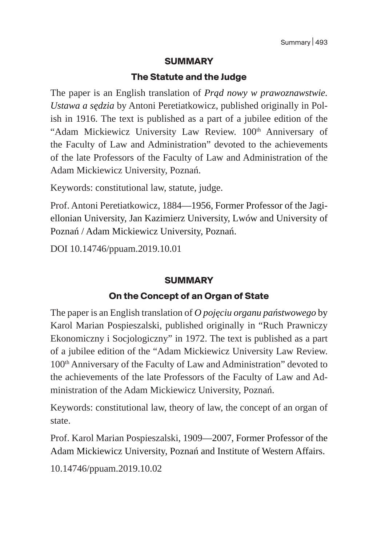Summary | 493

### **SUMMARY**

## **The Statute and the Judge**

The paper is an English translation of *Prąd nowy w prawoznawstwie. Ustawa a sędzia* by Antoni Peretiatkowicz, published originally in Polish in 1916. The text is published as a part of a jubilee edition of the "Adam Mickiewicz University Law Review. 100<sup>th</sup> Anniversary of the Faculty of Law and Administration" devoted to the achievements of the late Professors of the Faculty of Law and Administration of the Adam Mickiewicz University, Poznań.

Keywords: constitutional law, statute, judge.

Prof. Antoni Peretiatkowicz, 1884—1956, Former Professor of the Jagiellonian University, Jan Kazimierz University, Lwów and University of Poznań / Adam Mickiewicz University, Poznań.

DOI 10.14746/ppuam.2019.10.01

## **SUMMARY**

## **On the Concept of an Organ of State**

The paper is an English translation of *O pojęciu organu państwowego* by Karol Marian Pospieszalski, published originally in "Ruch Prawniczy Ekonomiczny i Socjologiczny" in 1972. The text is published as a part of a jubilee edition of the "Adam Mickiewicz University Law Review. 100<sup>th</sup> Anniversary of the Faculty of Law and Administration" devoted to the achievements of the late Professors of the Faculty of Law and Administration of the Adam Mickiewicz University, Poznań.

Keywords: constitutional law, theory of law, the concept of an organ of state.

Prof. Karol Marian Pospieszalski, 1909—2007, Former Professor of the Adam Mickiewicz University, Poznań and Institute of Western Affairs.

10.14746/ppuam.2019.10.02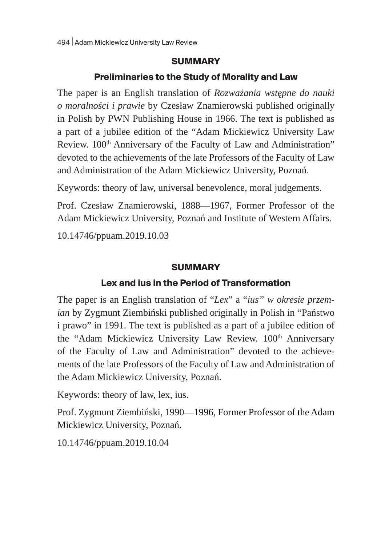#### **SUMMARY**

### **Preliminaries to the Study of Morality and Law**

The paper is an English translation of *Rozważania wstępne do nauki o moralności i prawie* by Czesław Znamierowski published originally in Polish by PWN Publishing House in 1966. The text is published as a part of a jubilee edition of the "Adam Mickiewicz University Law Review. 100<sup>th</sup> Anniversary of the Faculty of Law and Administration" devoted to the achievements of the late Professors of the Faculty of Law and Administration of the Adam Mickiewicz University, Poznań.

Keywords: theory of law, universal benevolence, moral judgements.

Prof. Czesław Znamierowski, 1888—1967, Former Professor of the Adam Mickiewicz University, Poznań and Institute of Western Affairs.

10.14746/ppuam.2019.10.03

#### **SUMMARY**

#### **Lex and ius in the Period of Transformation**

The paper is an English translation of "*Lex*" a "*ius" w okresie przemian* by Zygmunt Ziembiński published originally in Polish in "Państwo i prawo" in 1991. The text is published as a part of a jubilee edition of the "Adam Mickiewicz University Law Review. 100<sup>th</sup> Anniversary of the Faculty of Law and Administration" devoted to the achievements of the late Professors of the Faculty of Law and Administration of the Adam Mickiewicz University, Poznań.

Keywords: theory of law, lex, ius.

Prof. Zygmunt Ziembiński, 1990—1996, Former Professor of the Adam Mickiewicz University, Poznań.

10.14746/ppuam.2019.10.04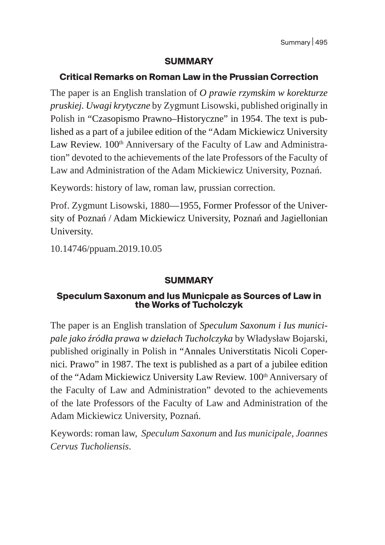### **SUMMARY**

## **Critical Remarks on Roman Law in the Prussian Correction**

The paper is an English translation of *O prawie rzymskim w korekturze pruskiej. Uwagi krytyczne* by Zygmunt Lisowski, published originally in Polish in "Czasopismo Prawno–Historyczne" in 1954. The text is published as a part of a jubilee edition of the "Adam Mickiewicz University Law Review. 100<sup>th</sup> Anniversary of the Faculty of Law and Administration" devoted to the achievements of the late Professors of the Faculty of Law and Administration of the Adam Mickiewicz University, Poznań.

Keywords: history of law, roman law, prussian correction.

Prof. Zygmunt Lisowski, 1880—1955, Former Professor of the University of Poznań / Adam Mickiewicz University, Poznań and Jagiellonian University.

10.14746/ppuam.2019.10.05

## **SUMMARY**

## **Speculum Saxonum and Ius Municpale as Sources of Law in the Works of Tucholczyk**

The paper is an English translation of *Speculum Saxonum i Ius municipale jako źródła prawa w dziełach Tucholczyka* by Władysław Bojarski, published originally in Polish in "Annales Universtitatis Nicoli Copernici. Prawo" in 1987. The text is published as a part of a jubilee edition of the "Adam Mickiewicz University Law Review. 100th Anniversary of the Faculty of Law and Administration" devoted to the achievements of the late Professors of the Faculty of Law and Administration of the Adam Mickiewicz University, Poznań.

Keywords: roman law, *Speculum Saxonum* and *Ius municipale*, *Joannes Cervus Tucholiensis*.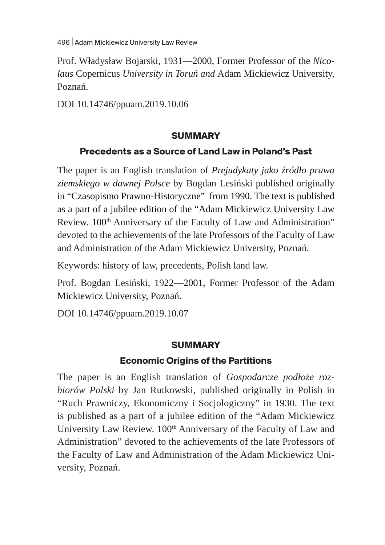Prof. Władysław Bojarski, 1931—2000, Former Professor of the *Nicolaus* Copernicus *University in Toruń and* Adam Mickiewicz University, Poznań.

DOI 10.14746/ppuam.2019.10.06

# **SUMMARY**

## **Precedents as a Source of Land Law in Poland's Past**

The paper is an English translation of *Prejudykaty jako źródło prawa ziemskiego w dawnej Polsce* by Bogdan Lesiński published originally in "Czasopismo Prawno-Historyczne" from 1990. The text is published as a part of a jubilee edition of the "Adam Mickiewicz University Law Review. 100<sup>th</sup> Anniversary of the Faculty of Law and Administration" devoted to the achievements of the late Professors of the Faculty of Law and Administration of the Adam Mickiewicz University, Poznań.

Keywords: history of law, precedents, Polish land law.

Prof. Bogdan Lesiński, 1922—2001, Former Professor of the Adam Mickiewicz University, Poznań.

DOI 10.14746/ppuam.2019.10.07

# **SUMMARY**

# **Economic Origins of the Partitions**

The paper is an English translation of *Gospodarcze podłoże rozbiorów Polski* by Jan Rutkowski, published originally in Polish in "Ruch Prawniczy, Ekonomiczny i Socjologiczny" in 1930. The text is published as a part of a jubilee edition of the "Adam Mickiewicz University Law Review. 100<sup>th</sup> Anniversary of the Faculty of Law and Administration" devoted to the achievements of the late Professors of the Faculty of Law and Administration of the Adam Mickiewicz University, Poznań.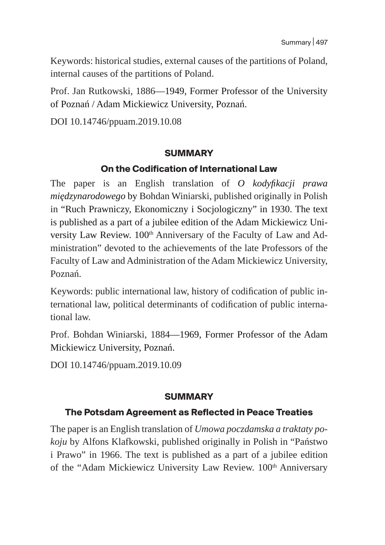Keywords: historical studies, external causes of the partitions of Poland, internal causes of the partitions of Poland.

Prof. Jan Rutkowski, 1886—1949, Former Professor of the University of Poznań / Adam Mickiewicz University, Poznań.

DOI 10.14746/ppuam.2019.10.08

### **SUMMARY**

## **On the Codification of International Law**

The paper is an English translation of *O kodyfikacji prawa międzynarodowego* by Bohdan Winiarski, published originally in Polish in "Ruch Prawniczy, Ekonomiczny i Socjologiczny" in 1930. The text is published as a part of a jubilee edition of the Adam Mickiewicz University Law Review. 100<sup>th</sup> Anniversary of the Faculty of Law and Administration" devoted to the achievements of the late Professors of the Faculty of Law and Administration of the Adam Mickiewicz University, Poznań.

Keywords: public international law, history of codification of public international law, political determinants of codification of public international law.

Prof. Bohdan Winiarski, 1884—1969, Former Professor of the Adam Mickiewicz University, Poznań.

DOI 10.14746/ppuam.2019.10.09

## **SUMMARY**

# **The Potsdam Agreement as Reflected in Peace Treaties**

The paper is an English translation of *Umowa poczdamska a traktaty pokoju* by Alfons Klafkowski, published originally in Polish in "Państwo i Prawo" in 1966. The text is published as a part of a jubilee edition of the "Adam Mickiewicz University Law Review. 100<sup>th</sup> Anniversary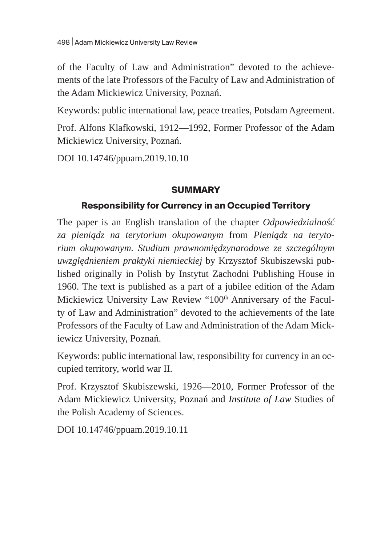of the Faculty of Law and Administration" devoted to the achievements of the late Professors of the Faculty of Law and Administration of the Adam Mickiewicz University, Poznań.

Keywords: public international law, peace treaties, Potsdam Agreement.

Prof. Alfons Klafkowski, 1912—1992, Former Professor of the Adam Mickiewicz University, Poznań.

DOI 10.14746/ppuam.2019.10.10

## **SUMMARY**

## **Responsibility for Currency in an Occupied Territory**

The paper is an English translation of the chapter *Odpowiedzialność za pieniądz na terytorium okupowanym* from *Pieniądz na terytorium okupowanym. Studium prawnomiędzynarodowe ze szczególnym uwzględnieniem praktyki niemieckiej* by Krzysztof Skubiszewski published originally in Polish by Instytut Zachodni Publishing House in 1960. The text is published as a part of a jubilee edition of the Adam Mickiewicz University Law Review "100th Anniversary of the Faculty of Law and Administration" devoted to the achievements of the late Professors of the Faculty of Law and Administration of the Adam Mickiewicz University, Poznań.

Keywords: public international law, responsibility for currency in an occupied territory, world war II.

Prof. Krzysztof Skubiszewski, 1926—2010, Former Professor of the Adam Mickiewicz University, Poznań and *Institute of Law* Studies of the Polish Academy of Sciences.

DOI 10.14746/ppuam.2019.10.11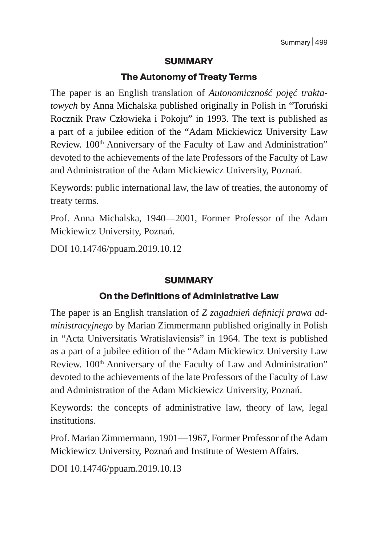Summary | 499

#### **SUMMARY**

## **The Autonomy of Treaty Terms**

The paper is an English translation of *Autonomiczność pojęć traktatowych* by Anna Michalska published originally in Polish in "Toruński Rocznik Praw Człowieka i Pokoju" in 1993. The text is published as a part of a jubilee edition of the "Adam Mickiewicz University Law Review. 100<sup>th</sup> Anniversary of the Faculty of Law and Administration" devoted to the achievements of the late Professors of the Faculty of Law and Administration of the Adam Mickiewicz University, Poznań.

Keywords: public international law, the law of treaties, the autonomy of treaty terms.

Prof. Anna Michalska, 1940—2001, Former Professor of the Adam Mickiewicz University, Poznań.

DOI 10.14746/ppuam.2019.10.12

#### **SUMMARY**

#### **On the Definitions of Administrative Law**

The paper is an English translation of *Z zagadnień definicji prawa administracyjnego* by Marian Zimmermann published originally in Polish in "Acta Universitatis Wratislaviensis" in 1964. The text is published as a part of a jubilee edition of the "Adam Mickiewicz University Law Review. 100<sup>th</sup> Anniversary of the Faculty of Law and Administration" devoted to the achievements of the late Professors of the Faculty of Law and Administration of the Adam Mickiewicz University, Poznań.

Keywords: the concepts of administrative law, theory of law, legal institutions.

Prof. Marian Zimmermann, 1901—1967, Former Professor of the Adam Mickiewicz University, Poznań and Institute of Western Affairs.

DOI 10.14746/ppuam.2019.10.13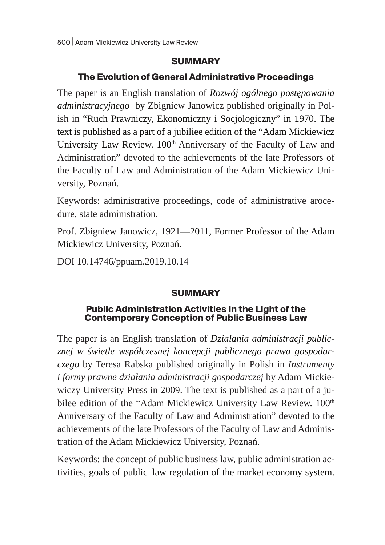## **SUMMARY**

# **The Evolution of General Administrative Proceedings**

The paper is an English translation of *Rozwój ogólnego postępowania administracyjnego* by Zbigniew Janowicz published originally in Polish in "Ruch Prawniczy, Ekonomiczny i Socjologiczny" in 1970. The text is published as a part of a jubiliee edition of the "Adam Mickiewicz University Law Review. 100<sup>th</sup> Anniversary of the Faculty of Law and Administration" devoted to the achievements of the late Professors of the Faculty of Law and Administration of the Adam Mickiewicz University, Poznań.

Keywords: administrative proceedings, code of administrative arocedure, state administration.

Prof. Zbigniew Janowicz, 1921—2011, Former Professor of the Adam Mickiewicz University, Poznań.

DOI 10.14746/ppuam.2019.10.14

# **SUMMARY**

## **Public Administration Activities in the Light of the Contemporary Conception of Public Business Law**

The paper is an English translation of *Działania administracji publicznej w świetle współczesnej koncepcji publicznego prawa gospodarczego* by Teresa Rabska published originally in Polish in *Instrumenty i formy prawne działania administracji gospodarczej* by Adam Mickiewiczy University Press in 2009. The text is published as a part of a jubilee edition of the "Adam Mickiewicz University Law Review.  $100<sup>th</sup>$ Anniversary of the Faculty of Law and Administration" devoted to the achievements of the late Professors of the Faculty of Law and Administration of the Adam Mickiewicz University, Poznań.

Keywords: the concept of public business law, public administration activities, goals of public–law regulation of the market economy system.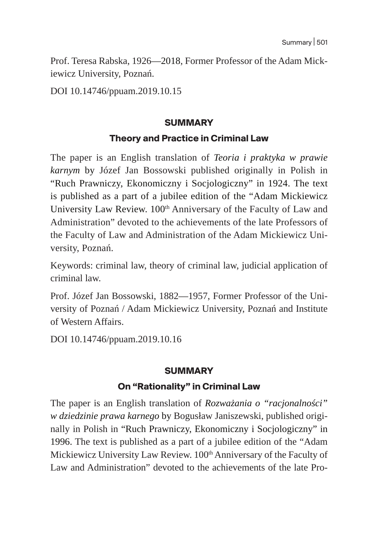Prof. Teresa Rabska, 1926—2018, Former Professor of the Adam Mickiewicz University, Poznań.

DOI 10.14746/ppuam.2019.10.15

# **SUMMARY**

# **Theory and Practice in Criminal Law**

The paper is an English translation of *Teoria i praktyka w prawie karnym* by Józef Jan Bossowski published originally in Polish in "Ruch Prawniczy, Ekonomiczny i Socjologiczny" in 1924. The text is published as a part of a jubilee edition of the "Adam Mickiewicz University Law Review. 100<sup>th</sup> Anniversary of the Faculty of Law and Administration" devoted to the achievements of the late Professors of the Faculty of Law and Administration of the Adam Mickiewicz University, Poznań.

Keywords: criminal law, theory of criminal law, judicial application of criminal law.

Prof. Józef Jan Bossowski, 1882—1957, Former Professor of the University of Poznań / Adam Mickiewicz University, Poznań and Institute of Western Affairs.

DOI 10.14746/ppuam.2019.10.16

# **SUMMARY**

# **On "Rationality" in Criminal Law**

The paper is an English translation of *Rozważania o "racjonalności" w dziedzinie prawa karnego* by Bogusław Janiszewski, published originally in Polish in "Ruch Prawniczy, Ekonomiczny i Socjologiczny" in 1996. The text is published as a part of a jubilee edition of the "Adam Mickiewicz University Law Review. 100<sup>th</sup> Anniversary of the Faculty of Law and Administration" devoted to the achievements of the late Pro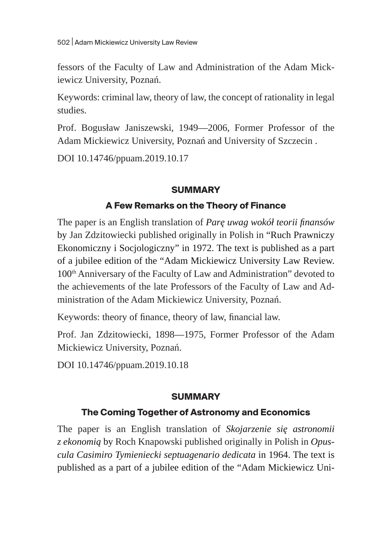fessors of the Faculty of Law and Administration of the Adam Mickiewicz University, Poznań.

Keywords: criminal law, theory of law, the concept of rationality in legal studies.

Prof. Bogusław Janiszewski, 1949—2006, Former Professor of the Adam Mickiewicz University, Poznań and University of Szczecin .

DOI 10.14746/ppuam.2019.10.17

# **SUMMARY**

# **A Few Remarks on the Theory of Finance**

The paper is an English translation of *Parę uwag wokół teorii finansów* by Jan Zdzitowiecki published originally in Polish in "Ruch Prawniczy Ekonomiczny i Socjologiczny" in 1972. The text is published as a part of a jubilee edition of the "Adam Mickiewicz University Law Review. 100<sup>th</sup> Anniversary of the Faculty of Law and Administration" devoted to the achievements of the late Professors of the Faculty of Law and Administration of the Adam Mickiewicz University, Poznań.

Keywords: theory of finance, theory of law, financial law.

Prof. Jan Zdzitowiecki, 1898—1975, Former Professor of the Adam Mickiewicz University, Poznań.

DOI 10.14746/ppuam.2019.10.18

## **SUMMARY**

# **The Coming Together of Astronomy and Economics**

The paper is an English translation of *Skojarzenie się astronomii z ekonomią* by Roch Knapowski published originally in Polish in *Opuscula Casimiro Tymieniecki septuagenario dedicata* in 1964. The text is published as a part of a jubilee edition of the "Adam Mickiewicz Uni